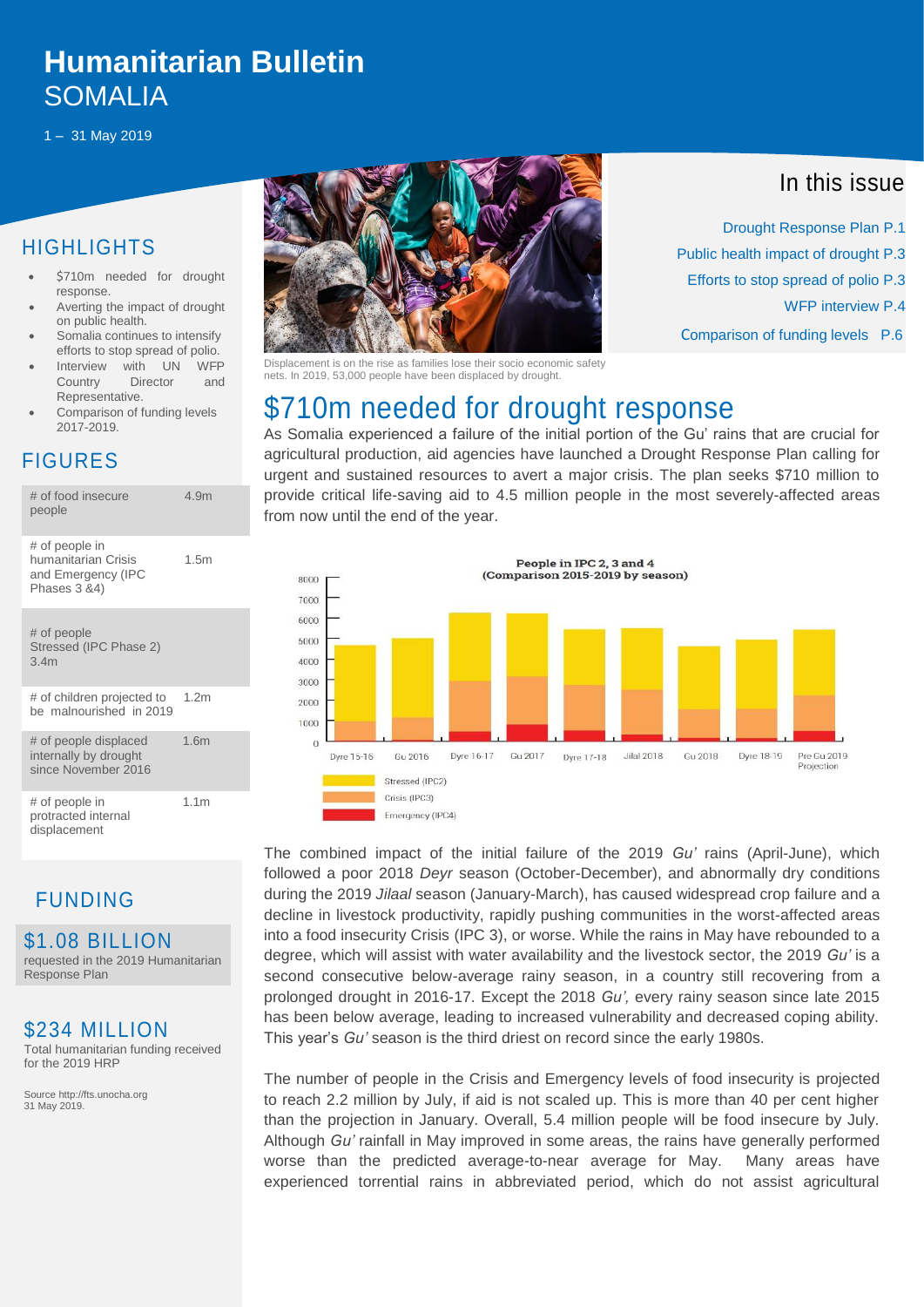# **people Humanitarian Bulletin** SOMALIA

1 – 31 May 2019

### **HIGHLIGHTS**

- \$710m needed for drought response.
- Averting the impact of drought on public health.
- Somalia continues to intensify efforts to stop spread of polio.
- Interview with UN WFP Country Director and Representative.
- Comparison of funding levels 2017-2019.

### FIGURES

| # of food insecure<br>people                                                | 4.9m             |
|-----------------------------------------------------------------------------|------------------|
| # of people in<br>humanitarian Crisis<br>and Emergency (IPC<br>Phases 3 &4) | 1.5m             |
| # of people<br>Stressed (IPC Phase 2)<br>3.4m                               |                  |
| # of children projected to<br>be malnourished in 2019                       | 1.2 <sub>m</sub> |
| # of people displaced<br>internally by drought<br>since November 2016       | 1.6 <sub>m</sub> |
| # of people in<br>protracted internal<br>displacement                       | 1.1 <sub>m</sub> |

### FUNDING

\$1.08 BILLION requested in the 2019 Humanitarian Response Plan

#### \$234 MILLION

Total humanitarian funding received for the 2019 HRP

Source http://fts.unocha.org 31 May 2019.



Displacement is on the rise as families lose their socio economic safety nets. In 2019, 53,000 people have been displaced by drought.

## \$710m needed for drought response

As Somalia experienced a failure of the initial portion of the Gu' rains that are crucial for agricultural production, aid agencies have launched a [Drought Response Plan](https://reliefweb.int/report/somalia/somalia-2019-drought-response-plan) calling for urgent and sustained resources to avert a major crisis. The plan seeks \$710 million to provide critical life-saving aid to 4.5 million people in the most severely-affected areas from now until the end of the year.



The combined impact of the initial failure of the 2019 *Gu'* rains (April-June), which followed a poor 2018 *Deyr* season (October-December), and abnormally dry conditions during the 2019 *Jilaal* season (January-March), has caused widespread crop failure and a decline in livestock productivity, rapidly pushing communities in the worst-affected areas into a food insecurity Crisis (IPC 3), or worse. While the rains in May have rebounded to a degree, which will assist with water availability and the livestock sector, the 2019 *Gu'* is a second consecutive below-average rainy season, in a country still recovering from a prolonged drought in 2016-17. Except the 2018 *Gu',* every rainy season since late 2015 has been below average, leading to increased vulnerability and decreased coping ability. This year's *Gu'* season is the third driest on record since the early 1980s.

The number of people in the Crisis and Emergency levels of food insecurity is projected to reach 2.2 million by July, if aid is not scaled up. This is more than 40 per cent higher than the projection in January. Overall, 5.4 million people will be food insecure by July. Although *Gu'* rainfall in May improved in some areas, the rains have generally performed worse than the predicted average-to-near average for May. Many areas have experienced torrential rains in abbreviated period, which do not assist agricultural

### In this issue

 Drought Response Plan P.1 Public health impact of drought P.3 Efforts to stop spread of polio P.3 WFP interview P.4 Comparison of funding levels P.6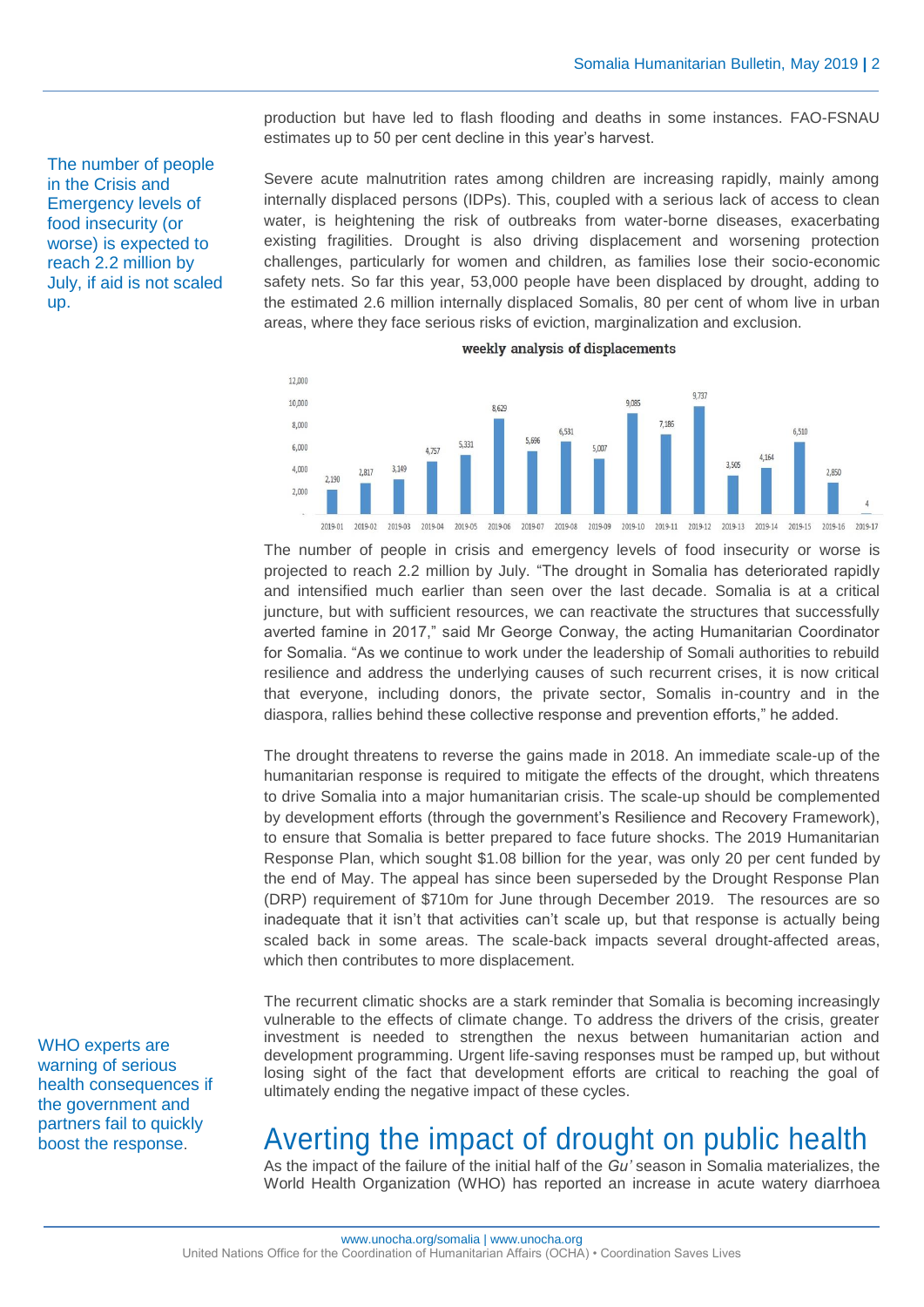production but have led to flash flooding and deaths in some instances. FAO-FSNAU estimates up to 50 per cent decline in this year's harvest.

Severe acute malnutrition rates among children are increasing rapidly, mainly among internally displaced persons (IDPs). This, coupled with a serious lack of access to clean water, is heightening the risk of outbreaks from water-borne diseases, exacerbating existing fragilities. Drought is also driving displacement and worsening protection challenges, particularly for women and children, as families lose their socio-economic safety nets. So far this year, 53,000 people have been displaced by drought, adding to the estimated 2.6 million internally displaced Somalis, 80 per cent of whom live in urban areas, where they face serious risks of eviction, marginalization and exclusion.



weekly analysis of displacements

The number of people in crisis and emergency levels of food insecurity or worse is projected to reach 2.2 million by July. "The drought in Somalia has deteriorated rapidly and intensified much earlier than seen over the last decade. Somalia is at a critical juncture, but with sufficient resources, we can reactivate the structures that successfully averted famine in 2017," said Mr George Conway, the acting Humanitarian Coordinator for Somalia. "As we continue to work under the leadership of Somali authorities to rebuild resilience and address the underlying causes of such recurrent crises, it is now critical that everyone, including donors, the private sector, Somalis in-country and in the diaspora, rallies behind these collective response and prevention efforts," he added.

The drought threatens to reverse the gains made in 2018. An immediate scale-up of the humanitarian response is required to mitigate the effects of the drought, which threatens to drive Somalia into a major humanitarian crisis. The scale-up should be complemented by development efforts (through the government's Resilience and Recovery Framework), to ensure that Somalia is better prepared to face future shocks. The 2019 Humanitarian Response Plan, which sought \$1.08 billion for the year, was only 20 per cent funded by the end of May. The appeal has since been superseded by the Drought Response Plan (DRP) requirement of \$710m for June through December 2019. The resources are so inadequate that it isn't that activities can't scale up, but that response is actually being scaled back in some areas. The scale-back impacts several drought-affected areas, which then contributes to more displacement.

The recurrent climatic shocks are a stark reminder that Somalia is becoming increasingly vulnerable to the effects of climate change. To address the drivers of the crisis, greater investment is needed to strengthen the nexus between humanitarian action and development programming. Urgent life-saving responses must be ramped up, but without losing sight of the fact that development efforts are critical to reaching the goal of ultimately ending the negative impact of these cycles.

### Averting the impact of drought on public health

As the impact of the failure of the initial half of the *Gu'* season in Somalia materializes, the World Health Organization (WHO) has reported an increase in acute watery diarrhoea

The number of people in the Crisis and Emergency levels of food insecurity (or worse) is expected to reach 2.2 million by July, if aid is not scaled up.

WHO experts are warning of serious health consequences if the government and partners fail to quickly boost the response.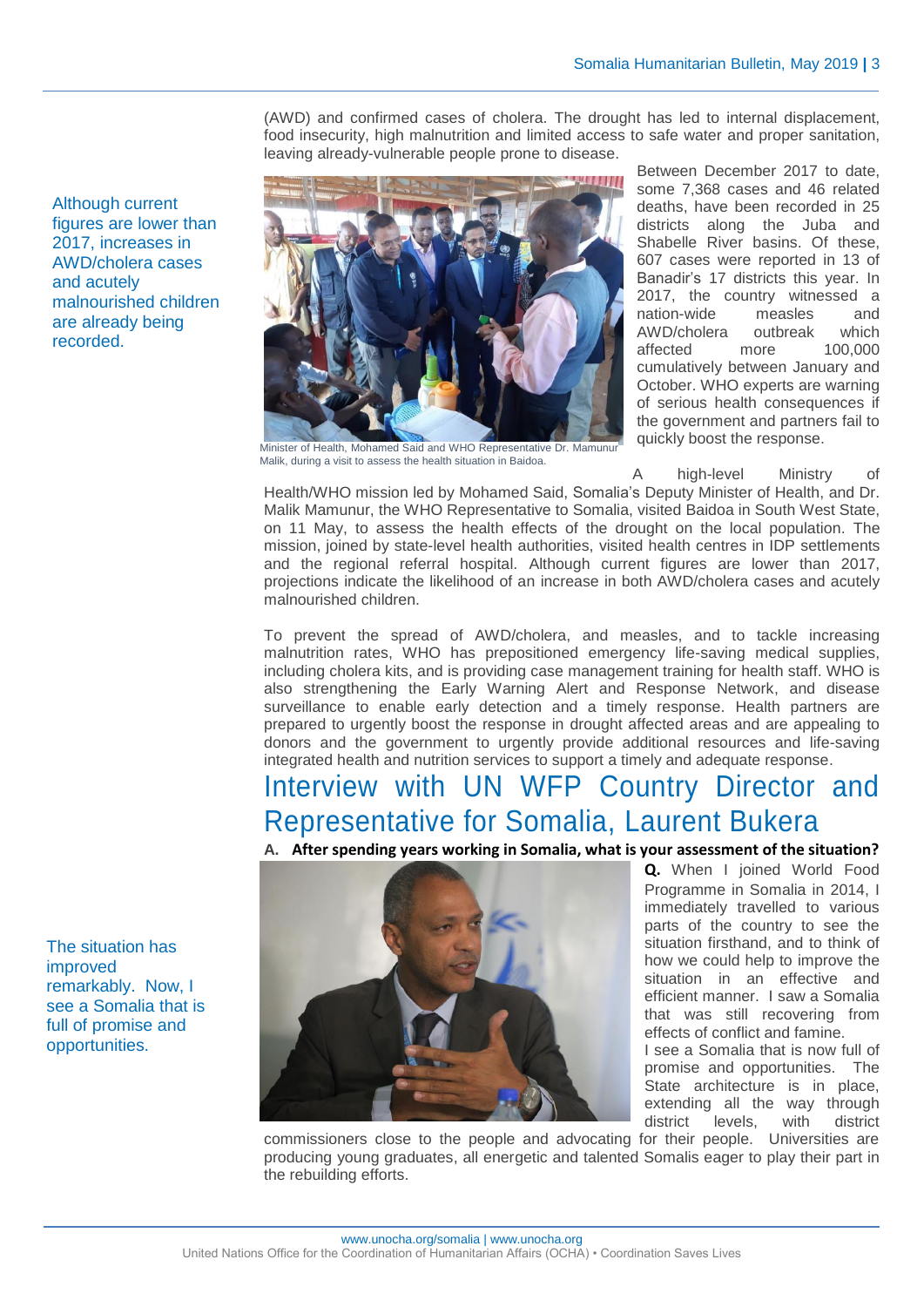(AWD) and confirmed cases of cholera. The drought has led to internal displacement, food insecurity, high malnutrition and limited access to safe water and proper sanitation, leaving already-vulnerable people prone to disease.



Between December 2017 to date, some 7,368 cases and 46 related deaths, have been recorded in 25 districts along the Juba and Shabelle River basins. Of these, 607 cases were reported in 13 of Banadir's 17 districts this year. In 2017, the country witnessed a nation-wide measles and AWD/cholera outbreak which affected more 100,000 cumulatively between January and October. WHO experts are warning of serious health consequences if the government and partners fail to quickly boost the response.

Minister of Health, Mohamed Said and WHO Representative Dr. Mamunur Malik, during a visit to assess the health situation in Baidoa.

A high-level Ministry of

Health/WHO mission led by Mohamed Said, Somalia's Deputy Minister of Health, and Dr. Malik Mamunur, the WHO Representative to Somalia, visited Baidoa in South West State, on 11 May, to assess the health effects of the drought on the local population. The mission, joined by state-level health authorities, visited health centres in IDP settlements and the regional referral hospital. Although current figures are lower than 2017, projections indicate the likelihood of an increase in both AWD/cholera cases and acutely malnourished children.

To prevent the spread of AWD/cholera, and measles, and to tackle increasing malnutrition rates, WHO has prepositioned emergency life-saving medical supplies, including cholera kits, and is providing case management training for health staff. WHO is also strengthening the Early Warning Alert and Response Network, and disease surveillance to enable early detection and a timely response. Health partners are prepared to urgently boost the response in drought affected areas and are appealing to donors and the government to urgently provide additional resources and life-saving integrated health and nutrition services to support a timely and adequate response.

## Interview with UN WFP Country Director and Representative for Somalia, Laurent Bukera





**Q.** When I joined World Food Programme in Somalia in 2014, I immediately travelled to various parts of the country to see the situation firsthand, and to think of how we could help to improve the situation in an effective and efficient manner. I saw a Somalia that was still recovering from effects of conflict and famine. I see a Somalia that is now full of promise and opportunities. The State architecture is in place, extending all the way through

district levels, with district

commissioners close to the people and advocating for their people. Universities are producing young graduates, all energetic and talented Somalis eager to play their part in the rebuilding efforts.

The situation has improved remarkably. Now, I see a Somalia that is full of promise and opportunities.

Although current figures are lower than 2017, increases in AWD/cholera cases

malnourished children are already being

and acutely

recorded.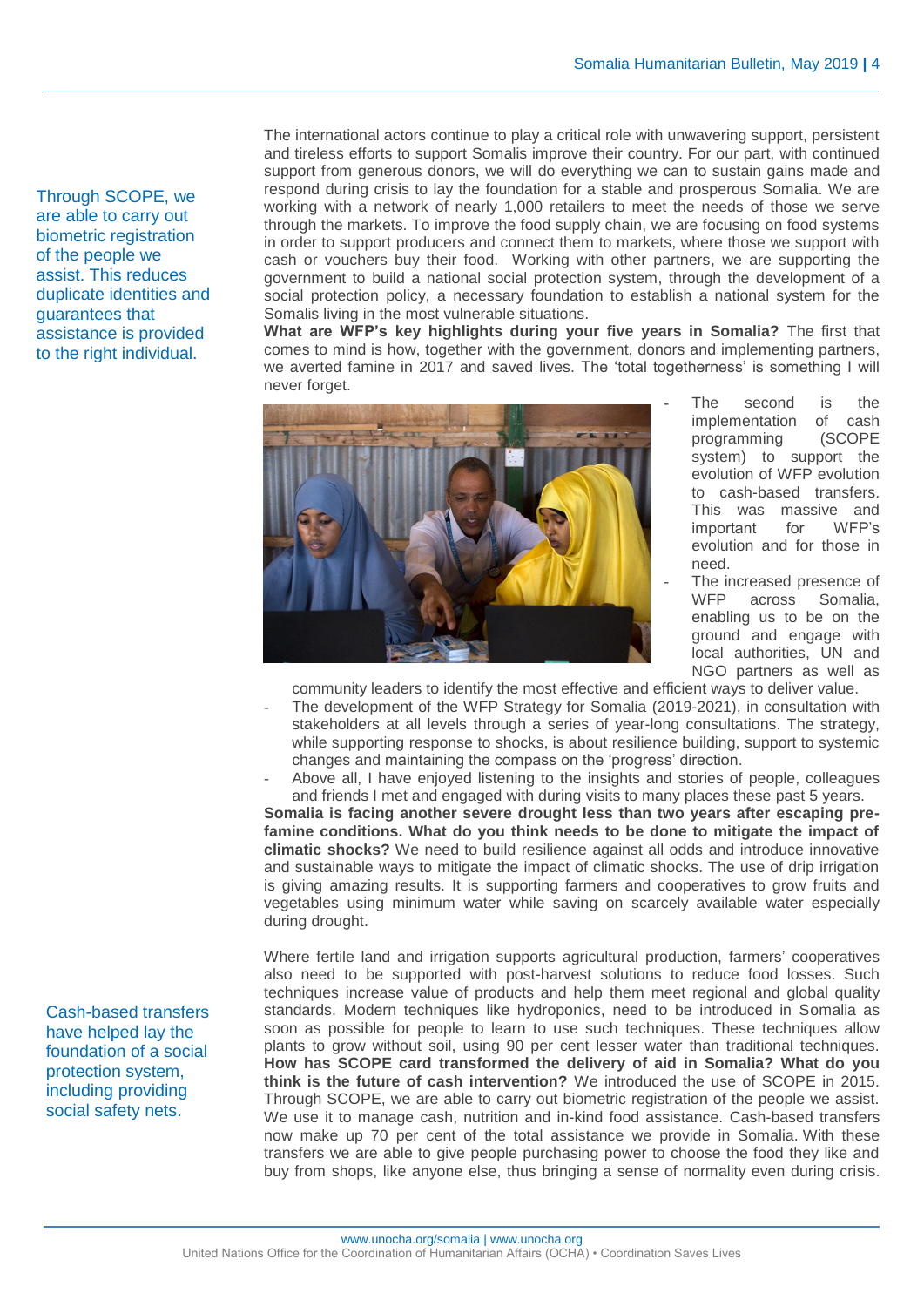Through SCOPE, we are able to carry out biometric registration of the people we assist. This reduces duplicate identities and guarantees that assistance is provided to the right individual.

The international actors continue to play a critical role with unwavering support, persistent and tireless efforts to support Somalis improve their country. For our part, with continued support from generous donors, we will do everything we can to sustain gains made and respond during crisis to lay the foundation for a stable and prosperous Somalia. We are working with a network of nearly 1,000 retailers to meet the needs of those we serve through the markets. To improve the food supply chain, we are focusing on food systems in order to support producers and connect them to markets, where those we support with cash or vouchers buy their food. Working with other partners, we are supporting the government to build a national social protection system, through the development of a social protection policy, a necessary foundation to establish a national system for the Somalis living in the most vulnerable situations.

**What are WFP's key highlights during your five years in Somalia?** The first that comes to mind is how, together with the government, donors and implementing partners, we averted famine in 2017 and saved lives. The 'total togetherness' is something I will never forget.



- The second is the implementation of cash<br>programming (SCOPE programming system) to support the evolution of WFP evolution to cash-based transfers. This was massive and important for WFP's evolution and for those in need.
- The increased presence of WFP across Somalia, enabling us to be on the ground and engage with local authorities, UN and NGO partners as well as

community leaders to identify the most effective and efficient ways to deliver value.

- The development of the WFP Strategy for Somalia (2019-2021), in consultation with stakeholders at all levels through a series of year-long consultations. The strategy, while supporting response to shocks, is about resilience building, support to systemic changes and maintaining the compass on the 'progress' direction.
- Above all, I have enjoyed listening to the insights and stories of people, colleagues and friends I met and engaged with during visits to many places these past 5 years.

**Somalia is facing another severe drought less than two years after escaping prefamine conditions. What do you think needs to be done to mitigate the impact of climatic shocks?** We need to build resilience against all odds and introduce innovative and sustainable ways to mitigate the impact of climatic shocks. The use of drip irrigation is giving amazing results. It is supporting farmers and cooperatives to grow fruits and vegetables using minimum water while saving on scarcely available water especially during drought.

Where fertile land and irrigation supports agricultural production, farmers' cooperatives also need to be supported with post-harvest solutions to reduce food losses. Such techniques increase value of products and help them meet regional and global quality standards. Modern techniques like hydroponics, need to be introduced in Somalia as soon as possible for people to learn to use such techniques. These techniques allow plants to grow without soil, using 90 per cent lesser water than traditional techniques. **How has SCOPE card transformed the delivery of aid in Somalia? What do you think is the future of cash intervention?** We introduced the use of SCOPE in 2015. Through SCOPE, we are able to carry out biometric registration of the people we assist. We use it to manage cash, nutrition and in-kind food assistance. Cash-based transfers now make up 70 per cent of the total assistance we provide in Somalia. With these transfers we are able to give people purchasing power to choose the food they like and buy from shops, like anyone else, thus bringing a sense of normality even during crisis.

Cash-based transfers have helped lay the foundation of a social protection system, including providing social safety nets.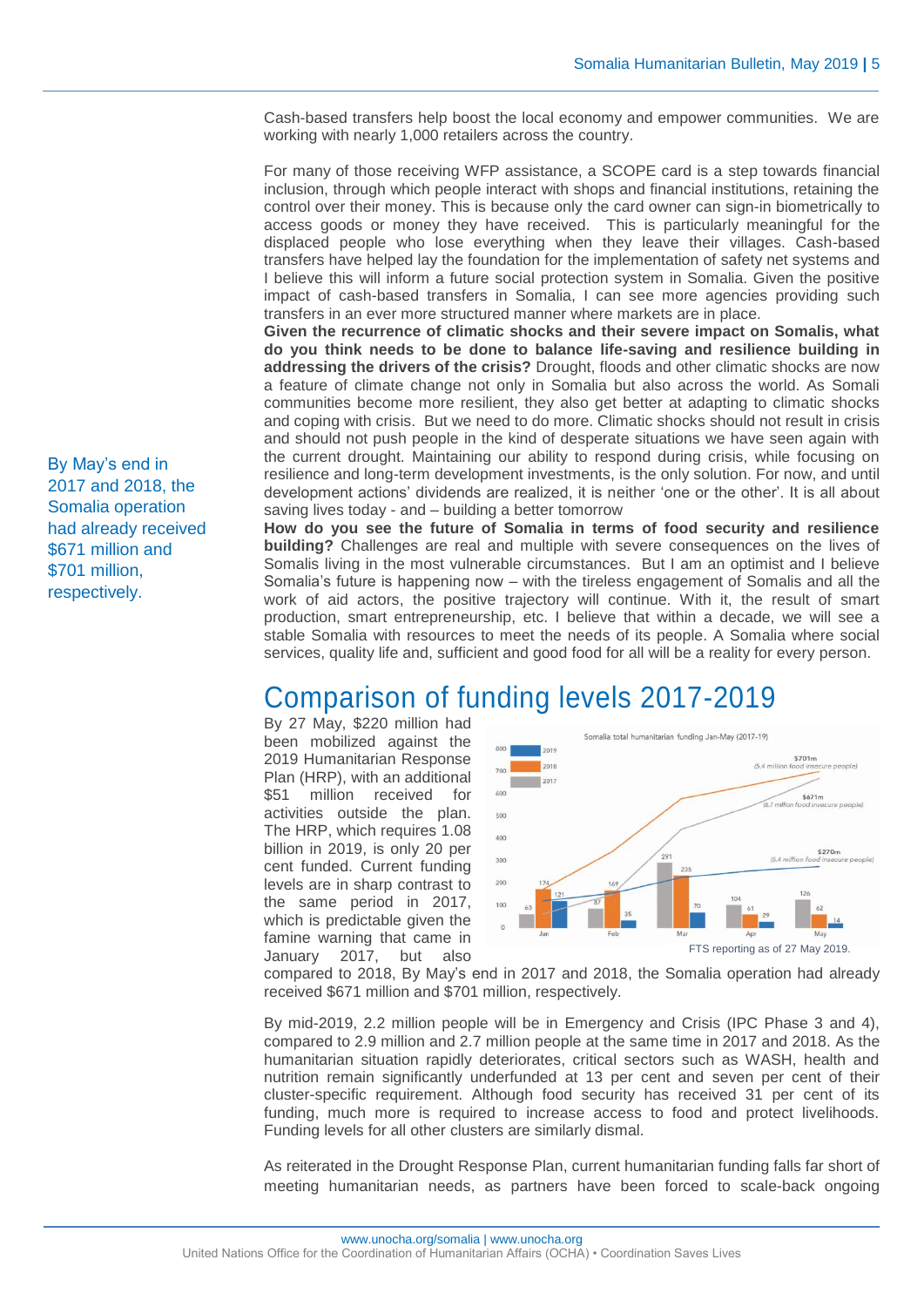Cash-based transfers help boost the local economy and empower communities. We are working with nearly 1,000 retailers across the country.

For many of those receiving WFP assistance, a SCOPE card is a step towards financial inclusion, through which people interact with shops and financial institutions, retaining the control over their money. This is because only the card owner can sign-in biometrically to access goods or money they have received. This is particularly meaningful for the displaced people who lose everything when they leave their villages. Cash-based transfers have helped lay the foundation for the implementation of safety net systems and I believe this will inform a future social protection system in Somalia. Given the positive impact of cash-based transfers in Somalia, I can see more agencies providing such transfers in an ever more structured manner where markets are in place.

**Given the recurrence of climatic shocks and their severe impact on Somalis, what do you think needs to be done to balance life-saving and resilience building in addressing the drivers of the crisis?** Drought, floods and other climatic shocks are now a feature of climate change not only in Somalia but also across the world. As Somali communities become more resilient, they also get better at adapting to climatic shocks and coping with crisis. But we need to do more. Climatic shocks should not result in crisis and should not push people in the kind of desperate situations we have seen again with the current drought. Maintaining our ability to respond during crisis, while focusing on resilience and long-term development investments, is the only solution. For now, and until development actions' dividends are realized, it is neither 'one or the other'. It is all about saving lives today - and – building a better tomorrow

**How do you see the future of Somalia in terms of food security and resilience building?** Challenges are real and multiple with severe consequences on the lives of Somalis living in the most vulnerable circumstances. But I am an optimist and I believe Somalia's future is happening now – with the tireless engagement of Somalis and all the work of aid actors, the positive trajectory will continue. With it, the result of smart production, smart entrepreneurship, etc. I believe that within a decade, we will see a stable Somalia with resources to meet the needs of its people. A Somalia where social services, quality life and, sufficient and good food for all will be a reality for every person.

### Comparison of funding levels 2017-2019

By 27 May, \$220 million had been mobilized against the 2019 Humanitarian Response Plan (HRP), with an additional \$51 million received for activities outside the plan. The HRP, which requires 1.08 billion in 2019, is only 20 per cent funded. Current funding levels are in sharp contrast to the same period in 2017, which is predictable given the famine warning that came in January 2017, but also



compared to 2018, By May's end in 2017 and 2018, the Somalia operation had already received \$671 million and \$701 million, respectively.

By mid-2019, 2.2 million people will be in Emergency and Crisis (IPC Phase 3 and 4), compared to 2.9 million and 2.7 million people at the same time in 2017 and 2018. As the humanitarian situation rapidly deteriorates, critical sectors such as WASH, health and nutrition remain significantly underfunded at 13 per cent and seven per cent of their cluster-specific requirement. Although food security has received 31 per cent of its funding, much more is required to increase access to food and protect livelihoods. Funding levels for all other clusters are similarly dismal.

As reiterated in the Drought Response Plan, current humanitarian funding falls far short of meeting humanitarian needs, as partners have been forced to scale-back ongoing

By May's end in 2017 and 2018, the Somalia operation had already received \$671 million and \$701 million, respectively.